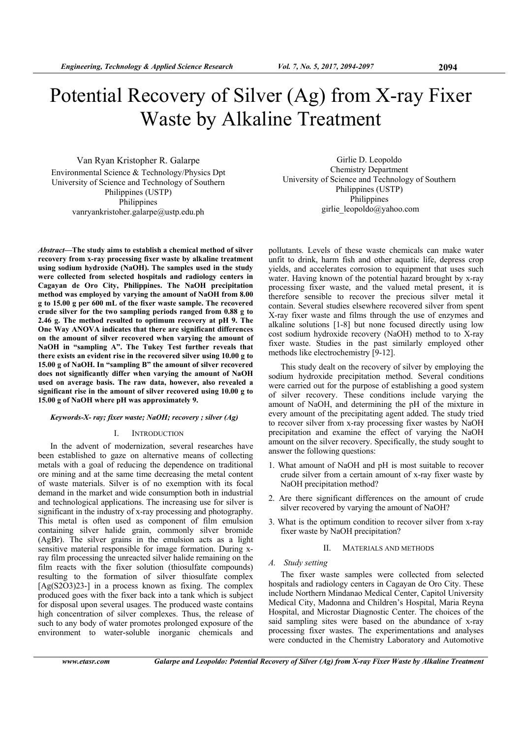# Potential Recovery of Silver (Ag) from X-ray Fixer Waste by Alkaline Treatment

Van Ryan Kristopher R. Galarpe Environmental Science & Technology/Physics Dpt University of Science and Technology of Southern Philippines (USTP) Philippines vanryankristoher.galarpe@ustp.edu.ph

*Abstract***—The study aims to establish a chemical method of silver recovery from x-ray processing fixer waste by alkaline treatment using sodium hydroxide (NaOH). The samples used in the study were collected from selected hospitals and radiology centers in Cagayan de Oro City, Philippines. The NaOH precipitation method was employed by varying the amount of NaOH from 8.00 g to 15.00 g per 600 mL of the fixer waste sample. The recovered crude silver for the two sampling periods ranged from 0.88 g to 2.46 g. The method resulted to optimum recovery at pH 9. The One Way ANOVA indicates that there are significant differences on the amount of silver recovered when varying the amount of NaOH in "sampling A". The Tukey Test further reveals that there exists an evident rise in the recovered silver using 10.00 g to 15.00 g of NaOH. In "sampling B" the amount of silver recovered does not significantly differ when varying the amount of NaOH used on average basis. The raw data, however, also revealed a significant rise in the amount of silver recovered using 10.00 g to 15.00 g of NaOH where pH was approximately 9.** 

## *Keywords-X- ray; fixer waste; NaOH; recovery ; silver (Ag)*

#### I. INTRODUCTION

In the advent of modernization, several researches have been established to gaze on alternative means of collecting metals with a goal of reducing the dependence on traditional ore mining and at the same time decreasing the metal content of waste materials. Silver is of no exemption with its focal demand in the market and wide consumption both in industrial and technological applications. The increasing use for silver is significant in the industry of x-ray processing and photography. This metal is often used as component of film emulsion containing silver halide grain, commonly silver bromide (AgBr). The silver grains in the emulsion acts as a light sensitive material responsible for image formation. During xray film processing the unreacted silver halide remaining on the film reacts with the fixer solution (thiosulfate compounds) resulting to the formation of silver thiosulfate complex [Ag(S2O3)23-] in a process known as fixing. The complex produced goes with the fixer back into a tank which is subject for disposal upon several usages. The produced waste contains high concentration of silver complexes. Thus, the release of such to any body of water promotes prolonged exposure of the environment to water-soluble inorganic chemicals and

Girlie D. Leopoldo Chemistry Department University of Science and Technology of Southern Philippines (USTP) Philippines girlie\_leopoldo@yahoo.com

pollutants. Levels of these waste chemicals can make water unfit to drink, harm fish and other aquatic life, depress crop yields, and accelerates corrosion to equipment that uses such water. Having known of the potential hazard brought by x-ray processing fixer waste, and the valued metal present, it is therefore sensible to recover the precious silver metal it contain. Several studies elsewhere recovered silver from spent X-ray fixer waste and films through the use of enzymes and alkaline solutions [1-8] but none focused directly using low cost sodium hydroxide recovery (NaOH) method to to X-ray fixer waste. Studies in the past similarly employed other methods like electrochemistry [9-12].

This study dealt on the recovery of silver by employing the sodium hydroxide precipitation method. Several conditions were carried out for the purpose of establishing a good system of silver recovery. These conditions include varying the amount of NaOH, and determining the pH of the mixture in every amount of the precipitating agent added. The study tried to recover silver from x-ray processing fixer wastes by NaOH precipitation and examine the effect of varying the NaOH amount on the silver recovery. Specifically, the study sought to answer the following questions:

- 1. What amount of NaOH and pH is most suitable to recover crude silver from a certain amount of x-ray fixer waste by NaOH precipitation method?
- 2. Are there significant differences on the amount of crude silver recovered by varying the amount of NaOH?
- 3. What is the optimum condition to recover silver from x-ray fixer waste by NaOH precipitation?

#### II. MATERIALS AND METHODS

# *A. Study setting*

The fixer waste samples were collected from selected hospitals and radiology centers in Cagayan de Oro City. These include Northern Mindanao Medical Center, Capitol University Medical City, Madonna and Children's Hospital, Maria Reyna Hospital, and Microstar Diagnostic Center. The choices of the said sampling sites were based on the abundance of x-ray processing fixer wastes. The experimentations and analyses were conducted in the Chemistry Laboratory and Automotive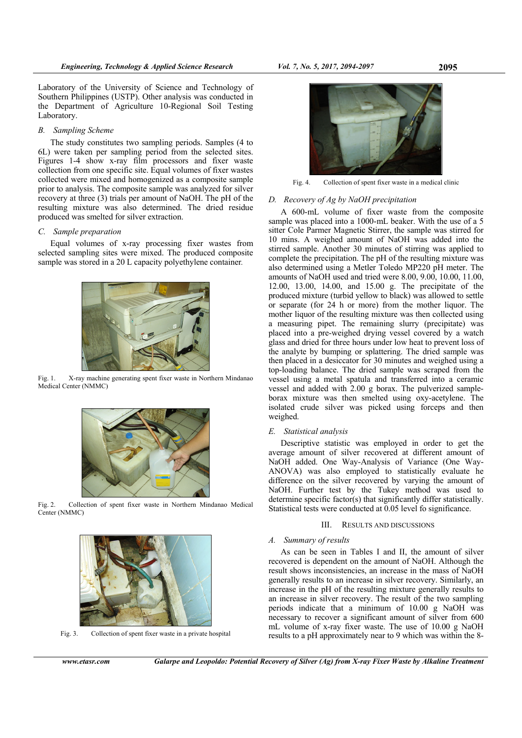## *B. Sampling Scheme*

The study constitutes two sampling periods. Samples (4 to 6L) were taken per sampling period from the selected sites. Figures 1-4 show x-ray film processors and fixer waste collection from one specific site. Equal volumes of fixer wastes collected were mixed and homogenized as a composite sample prior to analysis. The composite sample was analyzed for silver recovery at three (3) trials per amount of NaOH. The pH of the resulting mixture was also determined. The dried residue produced was smelted for silver extraction.

# *C. Sample preparation*

Equal volumes of x-ray processing fixer wastes from selected sampling sites were mixed. The produced composite sample was stored in a 20 L capacity polyethylene container*.* 



Fig. 1. X-ray machine generating spent fixer waste in Northern Mindanao Medical Center (NMMC)



Fig. 2. Collection of spent fixer waste in Northern Mindanao Medical Center (NMMC)



Fig. 3. Collection of spent fixer waste in a private hospital



Fig. 4. Collection of spent fixer waste in a medical clinic

## *D. Recovery of Ag by NaOH precipitation*

A 600-mL volume of fixer waste from the composite sample was placed into a 1000-mL beaker. With the use of a 5 sitter Cole Parmer Magnetic Stirrer, the sample was stirred for 10 mins. A weighed amount of NaOH was added into the stirred sample. Another 30 minutes of stirring was applied to complete the precipitation. The pH of the resulting mixture was also determined using a Metler Toledo MP220 pH meter. The amounts of NaOH used and tried were 8.00, 9.00, 10.00, 11.00, 12.00, 13.00, 14.00, and 15.00 g. The precipitate of the produced mixture (turbid yellow to black) was allowed to settle or separate (for 24 h or more) from the mother liquor. The mother liquor of the resulting mixture was then collected using a measuring pipet. The remaining slurry (precipitate) was placed into a pre-weighed drying vessel covered by a watch glass and dried for three hours under low heat to prevent loss of the analyte by bumping or splattering. The dried sample was then placed in a desiccator for 30 minutes and weighed using a top-loading balance. The dried sample was scraped from the vessel using a metal spatula and transferred into a ceramic vessel and added with 2.00 g borax. The pulverized sampleborax mixture was then smelted using oxy-acetylene. The isolated crude silver was picked using forceps and then weighed.

## *E. Statistical analysis*

Descriptive statistic was employed in order to get the average amount of silver recovered at different amount of NaOH added. One Way-Analysis of Variance (One Way-ANOVA) was also employed to statistically evaluate he difference on the silver recovered by varying the amount of NaOH. Further test by the Tukey method was used to determine specific factor(s) that significantly differ statistically. Statistical tests were conducted at 0.05 level fo significance.

#### III. RESULTS AND DISCUSSIONS

## *A. Summary of results*

As can be seen in Tables I and II, the amount of silver recovered is dependent on the amount of NaOH. Although the result shows inconsistencies, an increase in the mass of NaOH generally results to an increase in silver recovery. Similarly, an increase in the pH of the resulting mixture generally results to an increase in silver recovery. The result of the two sampling periods indicate that a minimum of 10.00 g NaOH was necessary to recover a significant amount of silver from 600 mL volume of x-ray fixer waste. The use of 10.00 g NaOH results to a pH approximately near to 9 which was within the 8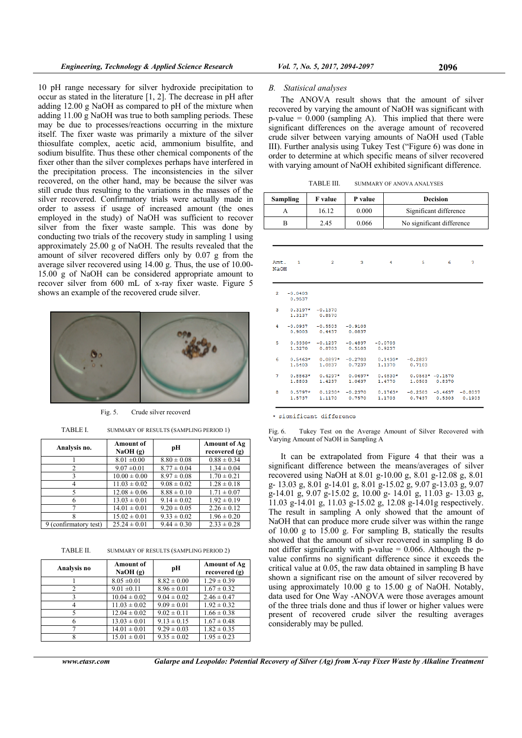10 pH range necessary for silver hydroxide precipitation to occur as stated in the literature [1, 2]. The decrease in pH after adding 12.00 g NaOH as compared to pH of the mixture when adding 11.00 g NaOH was true to both sampling periods. These may be due to processes/reactions occurring in the mixture itself. The fixer waste was primarily a mixture of the silver thiosulfate complex, acetic acid, ammonium bisulfite, and sodium bisulfite. Thus these other chemical components of the fixer other than the silver complexes perhaps have interfered in the precipitation process. The inconsistencies in the silver recovered, on the other hand, may be because the silver was still crude thus resulting to the variations in the masses of the silver recovered. Confirmatory trials were actually made in order to assess if usage of increased amount (the ones employed in the study) of NaOH was sufficient to recover silver from the fixer waste sample. This was done by conducting two trials of the recovery study in sampling 1 using approximately 25.00 g of NaOH. The results revealed that the amount of silver recovered differs only by 0.07 g from the average silver recovered using 14.00 g. Thus, the use of 10.00- 15.00 g of NaOH can be considered appropriate amount to recover silver from 600 mL of x-ray fixer waste. Figure 5 shows an example of the recovered crude silver.



Fig. 5. Crude silver recoverd

TABLE I. SUMMARY OF RESULTS (SAMPLING PERIOD 1)

| Analysis no.          | <b>Amount of</b><br>NaOH(g) | pН              | <b>Amount of Ag</b><br>recovered (g) |
|-----------------------|-----------------------------|-----------------|--------------------------------------|
|                       | $8.01 \pm 0.00$             | $8.80 \pm 0.08$ | $0.88 \pm 0.34$                      |
| 2                     | $9.07 \pm 0.01$             | $8.77 \pm 0.04$ | $1.34 \pm 0.04$                      |
| 3                     | $10.00 \pm 0.00$            | $8.97 \pm 0.08$ | $1.70 \pm 0.21$                      |
| 4                     | $11.03 \pm 0.02$            | $9.08 \pm 0.02$ | $1.28 \pm 0.18$                      |
| 5                     | $12.08 \pm 0.06$            | $8.88 \pm 0.10$ | $1.71 \pm 0.07$                      |
| 6                     | $13.03 \pm 0.01$            | $9.14 \pm 0.02$ | $1.92 \pm 0.19$                      |
|                       | $14.01 \pm 0.01$            | $9.20 \pm 0.05$ | $2.26 \pm 0.12$                      |
| 8                     | $15.02 \pm 0.01$            | $9.33 \pm 0.02$ | $1.96 \pm 0.20$                      |
| 9 (confirmatory test) | $25.24 \pm 0.01$            | $9.44 \pm 0.30$ | $2.33 \pm 0.28$                      |

TABLE II. SUMMARY OF RESULTS (SAMPLING PERIOD 2)

| Analysis no | <b>Amount of</b><br>NaOH(g) | pН              | Amount of Ag<br>recovered (g) |  |
|-------------|-----------------------------|-----------------|-------------------------------|--|
|             | $8.05 \pm 0.01$             | $8.82 \pm 0.00$ | $1.29 \pm 0.39$               |  |
| 2           | $9.01 \pm 0.11$             | $8.96 \pm 0.01$ | $1.67 \pm 0.32$               |  |
|             | $10.04 \pm 0.02$            | $9.04 \pm 0.02$ | $2.46 \pm 0.47$               |  |
|             | $11.03 \pm 0.02$            | $9.09 \pm 0.01$ | $1.92 \pm 0.32$               |  |
|             | $12.04 \pm 0.02$            | $9.02 \pm 0.11$ | $1.66 \pm 0.38$               |  |
|             | $13.03 \pm 0.01$            | $9.13 \pm 0.15$ | $1.67 \pm 0.48$               |  |
|             | $14.01 \pm 0.01$            | $9.29 \pm 0.03$ | $1.82 \pm 0.35$               |  |
|             | $15.01 \pm 0.01$            | $9.35 \pm 0.02$ | $1.95 \pm 0.23$               |  |

#### *B. Statisical analyses*

The ANOVA result shows that the amount of silver recovered by varying the amount of NaOH was significant with  $p$ -value =  $0.000$  (sampling A). This implied that there were significant differences on the average amount of recovered crude silver between varying amounts of NaOH used (Table III). Further analysis using Tukey Test ("Figure 6) was done in order to determine at which specific means of silver recovered with varying amount of NaOH exhibited significant difference.

TABLE III. SUMMARY OF ANOVA ANALYSES

| Sampling | F value | P value | <b>Decision</b>           |
|----------|---------|---------|---------------------------|
|          | 16.12   | 0.000   | Significant difference    |
|          | 2.45    | 0.066   | No significant difference |

| Amt.<br><b>NaOH</b> | $\mathbf{1}$        | $\overline{2}$                      | з                   | 4                   | 5                   | 6                                  | 7                   |
|---------------------|---------------------|-------------------------------------|---------------------|---------------------|---------------------|------------------------------------|---------------------|
| $\overline{2}$      | $-0.0403$<br>0.9537 |                                     |                     |                     |                     |                                    |                     |
| 3                   | $0.3197*$           | $-0.1370$<br>1.3137 0.8570          |                     |                     |                     |                                    |                     |
| 4.                  | 0.9003              | $-0.0937 - 0.5503$<br>0.4437 0.0837 | $-0.9103$           |                     |                     |                                    |                     |
| 5                   | $0.3330*$<br>1,3270 | $-0.1237$<br>0.8703                 | $-0.4837$<br>0.5103 | $-0.0703$<br>0.9237 |                     |                                    |                     |
| 6                   | $0.5463*$<br>1.5403 | $0.0897*$<br>1,0837                 | $-0.2703$<br>0.7237 | $0.1430*$<br>1,1370 | $-0.2837$<br>0.7103 |                                    |                     |
| 7                   | $0.8863*$<br>1,8803 | $0.4297*$<br>1,4237                 | $0.0697*$<br>1,0637 | $0.4830*$<br>1.4770 |                     | $0.0563* -0.1570$<br>1.0503 0.8370 |                     |
| 8                   | $0.5797*$<br>1.5737 | $0.1230*$<br>1,1170                 | $-0.2370$<br>0.7570 | $0.1763*$<br>1,1703 | $-0.2503$<br>0.7437 | $-0.4637$<br>0.5303                | $-0.8037$<br>0.1903 |

\* significant difference

Fig. 6. Tukey Test on the Average Amount of Silver Recovered with Varying Amount of NaOH in Sampling A

It can be extrapolated from Figure 4 that their was a significant difference between the means/averages of silver recovered using NaOH at 8.01 g-10.00 g, 8.01 g-12.08 g, 8.01 g- 13.03 g, 8.01 g-14.01 g, 8.01 g-15.02 g, 9.07 g-13.03 g, 9.07 g-14.01 g, 9.07 g-15.02 g, 10.00 g- 14.01 g, 11.03 g- 13.03 g, 11.03 g-14.01 g, 11.03 g-15.02 g, 12.08 g-14.01g respectively. The result in sampling A only showed that the amount of NaOH that can produce more crude silver was within the range of 10.00 g to 15.00 g. For sampling B, statically the results showed that the amount of silver recovered in sampling B do not differ significantly with  $p$ -value = 0.066. Although the  $p$ value confirms no significant difference since it exceeds the critical value at 0.05, the raw data obtained in sampling B have shown a significant rise on the amount of silver recovered by using approximately 10.00 g to 15.00 g of NaOH. Notably, data used for One Way -ANOVA were those averages amount of the three trials done and thus if lower or higher values were present of recovered crude silver the resulting averages considerably may be pulled.